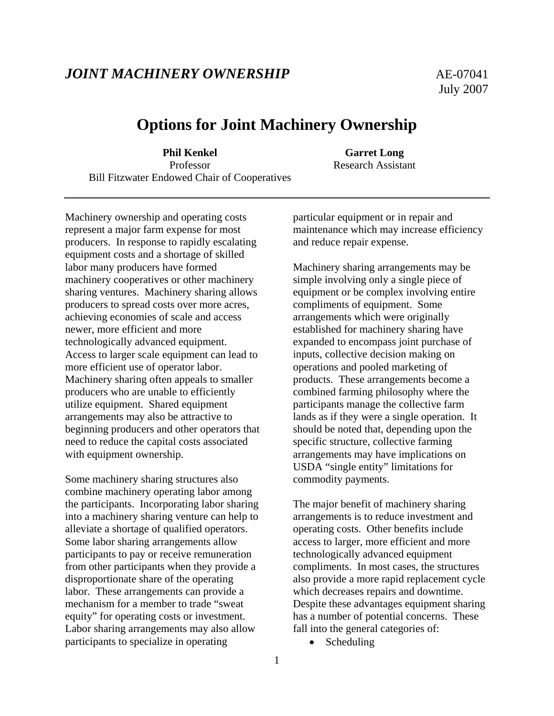## *JOINT MACHINERY OWNERSHIP* AE-07041

# **Options for Joint Machinery Ownership**

**Phil Kenkel Garret Long** Professor Research Assistant Bill Fitzwater Endowed Chair of Cooperatives

Machinery ownership and operating costs represent a major farm expense for most producers. In response to rapidly escalating equipment costs and a shortage of skilled labor many producers have formed machinery cooperatives or other machinery sharing ventures. Machinery sharing allows producers to spread costs over more acres, achieving economies of scale and access newer, more efficient and more technologically advanced equipment. Access to larger scale equipment can lead to more efficient use of operator labor. Machinery sharing often appeals to smaller producers who are unable to efficiently utilize equipment. Shared equipment arrangements may also be attractive to beginning producers and other operators that need to reduce the capital costs associated with equipment ownership.

Some machinery sharing structures also combine machinery operating labor among the participants. Incorporating labor sharing into a machinery sharing venture can help to alleviate a shortage of qualified operators. Some labor sharing arrangements allow participants to pay or receive remuneration from other participants when they provide a disproportionate share of the operating labor. These arrangements can provide a mechanism for a member to trade "sweat equity" for operating costs or investment. Labor sharing arrangements may also allow participants to specialize in operating

particular equipment or in repair and maintenance which may increase efficiency and reduce repair expense.

Machinery sharing arrangements may be simple involving only a single piece of equipment or be complex involving entire compliments of equipment. Some arrangements which were originally established for machinery sharing have expanded to encompass joint purchase of inputs, collective decision making on operations and pooled marketing of products. These arrangements become a combined farming philosophy where the participants manage the collective farm lands as if they were a single operation. It should be noted that, depending upon the specific structure, collective farming arrangements may have implications on USDA "single entity" limitations for commodity payments.

The major benefit of machinery sharing arrangements is to reduce investment and operating costs. Other benefits include access to larger, more efficient and more technologically advanced equipment compliments. In most cases, the structures also provide a more rapid replacement cycle which decreases repairs and downtime. Despite these advantages equipment sharing has a number of potential concerns. These fall into the general categories of:

• Scheduling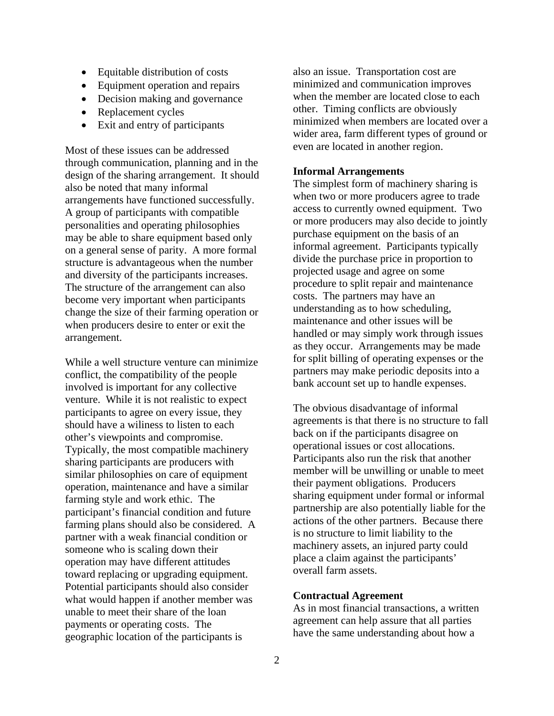- Equitable distribution of costs
- Equipment operation and repairs
- Decision making and governance
- Replacement cycles
- Exit and entry of participants

Most of these issues can be addressed through communication, planning and in the design of the sharing arrangement. It should also be noted that many informal arrangements have functioned successfully. A group of participants with compatible personalities and operating philosophies may be able to share equipment based only on a general sense of parity. A more formal structure is advantageous when the number and diversity of the participants increases. The structure of the arrangement can also become very important when participants change the size of their farming operation or when producers desire to enter or exit the arrangement.

While a well structure venture can minimize conflict, the compatibility of the people involved is important for any collective venture. While it is not realistic to expect participants to agree on every issue, they should have a wiliness to listen to each other's viewpoints and compromise. Typically, the most compatible machinery sharing participants are producers with similar philosophies on care of equipment operation, maintenance and have a similar farming style and work ethic. The participant's financial condition and future farming plans should also be considered. A partner with a weak financial condition or someone who is scaling down their operation may have different attitudes toward replacing or upgrading equipment. Potential participants should also consider what would happen if another member was unable to meet their share of the loan payments or operating costs. The geographic location of the participants is

also an issue. Transportation cost are minimized and communication improves when the member are located close to each other. Timing conflicts are obviously minimized when members are located over a wider area, farm different types of ground or even are located in another region.

#### **Informal Arrangements**

The simplest form of machinery sharing is when two or more producers agree to trade access to currently owned equipment. Two or more producers may also decide to jointly purchase equipment on the basis of an informal agreement. Participants typically divide the purchase price in proportion to projected usage and agree on some procedure to split repair and maintenance costs. The partners may have an understanding as to how scheduling, maintenance and other issues will be handled or may simply work through issues as they occur. Arrangements may be made for split billing of operating expenses or the partners may make periodic deposits into a bank account set up to handle expenses.

The obvious disadvantage of informal agreements is that there is no structure to fall back on if the participants disagree on operational issues or cost allocations. Participants also run the risk that another member will be unwilling or unable to meet their payment obligations. Producers sharing equipment under formal or informal partnership are also potentially liable for the actions of the other partners. Because there is no structure to limit liability to the machinery assets, an injured party could place a claim against the participants' overall farm assets.

#### **Contractual Agreement**

As in most financial transactions, a written agreement can help assure that all parties have the same understanding about how a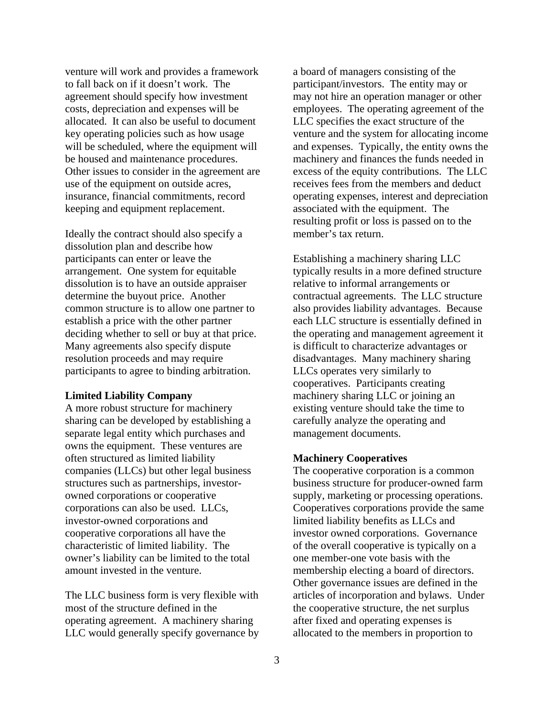venture will work and provides a framework to fall back on if it doesn't work. The agreement should specify how investment costs, depreciation and expenses will be allocated. It can also be useful to document key operating policies such as how usage will be scheduled, where the equipment will be housed and maintenance procedures. Other issues to consider in the agreement are use of the equipment on outside acres, insurance, financial commitments, record keeping and equipment replacement.

Ideally the contract should also specify a dissolution plan and describe how participants can enter or leave the arrangement. One system for equitable dissolution is to have an outside appraiser determine the buyout price. Another common structure is to allow one partner to establish a price with the other partner deciding whether to sell or buy at that price. Many agreements also specify dispute resolution proceeds and may require participants to agree to binding arbitration.

#### **Limited Liability Company**

A more robust structure for machinery sharing can be developed by establishing a separate legal entity which purchases and owns the equipment. These ventures are often structured as limited liability companies (LLCs) but other legal business structures such as partnerships, investorowned corporations or cooperative corporations can also be used. LLCs, investor-owned corporations and cooperative corporations all have the characteristic of limited liability. The owner's liability can be limited to the total amount invested in the venture.

The LLC business form is very flexible with most of the structure defined in the operating agreement. A machinery sharing LLC would generally specify governance by a board of managers consisting of the participant/investors. The entity may or may not hire an operation manager or other employees. The operating agreement of the LLC specifies the exact structure of the venture and the system for allocating income and expenses. Typically, the entity owns the machinery and finances the funds needed in excess of the equity contributions. The LLC receives fees from the members and deduct operating expenses, interest and depreciation associated with the equipment. The resulting profit or loss is passed on to the member's tax return.

Establishing a machinery sharing LLC typically results in a more defined structure relative to informal arrangements or contractual agreements. The LLC structure also provides liability advantages. Because each LLC structure is essentially defined in the operating and management agreement it is difficult to characterize advantages or disadvantages. Many machinery sharing LLCs operates very similarly to cooperatives. Participants creating machinery sharing LLC or joining an existing venture should take the time to carefully analyze the operating and management documents.

#### **Machinery Cooperatives**

The cooperative corporation is a common business structure for producer-owned farm supply, marketing or processing operations. Cooperatives corporations provide the same limited liability benefits as LLCs and investor owned corporations. Governance of the overall cooperative is typically on a one member-one vote basis with the membership electing a board of directors. Other governance issues are defined in the articles of incorporation and bylaws. Under the cooperative structure, the net surplus after fixed and operating expenses is allocated to the members in proportion to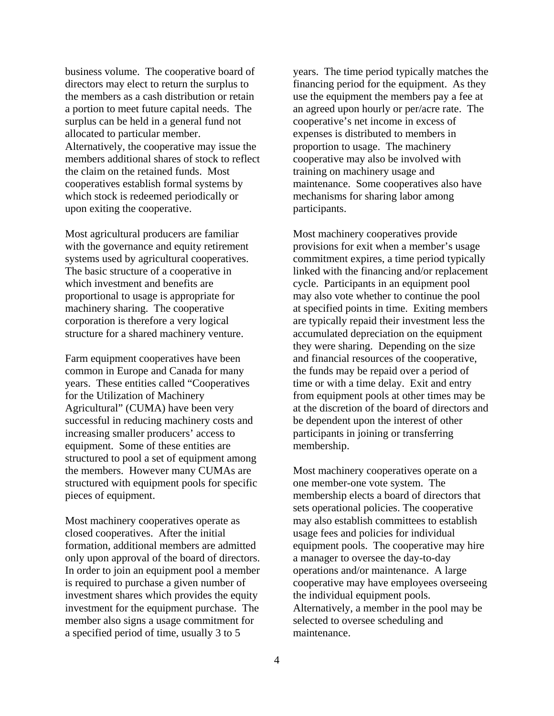business volume. The cooperative board of directors may elect to return the surplus to the members as a cash distribution or retain a portion to meet future capital needs. The surplus can be held in a general fund not allocated to particular member. Alternatively, the cooperative may issue the members additional shares of stock to reflect the claim on the retained funds. Most cooperatives establish formal systems by which stock is redeemed periodically or upon exiting the cooperative.

Most agricultural producers are familiar with the governance and equity retirement systems used by agricultural cooperatives. The basic structure of a cooperative in which investment and benefits are proportional to usage is appropriate for machinery sharing. The cooperative corporation is therefore a very logical structure for a shared machinery venture.

Farm equipment cooperatives have been common in Europe and Canada for many years. These entities called "Cooperatives for the Utilization of Machinery Agricultural" (CUMA) have been very successful in reducing machinery costs and increasing smaller producers' access to equipment. Some of these entities are structured to pool a set of equipment among the members. However many CUMAs are structured with equipment pools for specific pieces of equipment.

Most machinery cooperatives operate as closed cooperatives. After the initial formation, additional members are admitted only upon approval of the board of directors. In order to join an equipment pool a member is required to purchase a given number of investment shares which provides the equity investment for the equipment purchase. The member also signs a usage commitment for a specified period of time, usually 3 to 5

years. The time period typically matches the financing period for the equipment. As they use the equipment the members pay a fee at an agreed upon hourly or per/acre rate. The cooperative's net income in excess of expenses is distributed to members in proportion to usage. The machinery cooperative may also be involved with training on machinery usage and maintenance. Some cooperatives also have mechanisms for sharing labor among participants.

Most machinery cooperatives provide provisions for exit when a member's usage commitment expires, a time period typically linked with the financing and/or replacement cycle. Participants in an equipment pool may also vote whether to continue the pool at specified points in time. Exiting members are typically repaid their investment less the accumulated depreciation on the equipment they were sharing. Depending on the size and financial resources of the cooperative, the funds may be repaid over a period of time or with a time delay. Exit and entry from equipment pools at other times may be at the discretion of the board of directors and be dependent upon the interest of other participants in joining or transferring membership.

Most machinery cooperatives operate on a one member-one vote system. The membership elects a board of directors that sets operational policies. The cooperative may also establish committees to establish usage fees and policies for individual equipment pools. The cooperative may hire a manager to oversee the day-to-day operations and/or maintenance. A large cooperative may have employees overseeing the individual equipment pools. Alternatively, a member in the pool may be selected to oversee scheduling and maintenance.